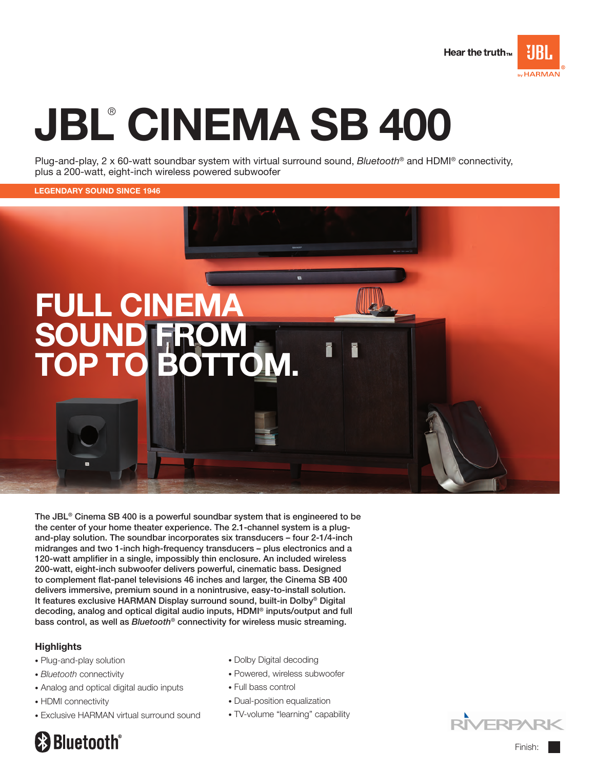

# JBL® CINEMA SB 400

Plug-and-play, 2 x 60-watt soundbar system with virtual surround sound, Bluetooth<sup>®</sup> and HDMI<sup>®</sup> connectivity, plus a 200-watt, eight-inch wireless powered subwoofer

#### legendary sound since 1946



The JBL® Cinema SB 400 is a powerful soundbar system that is engineered to be the center of your home theater experience. The 2.1-channel system is a plugand-play solution. The soundbar incorporates six transducers – four 2-1/4-inch midranges and two 1-inch high-frequency transducers – plus electronics and a 120-watt amplifier in a single, impossibly thin enclosure. An included wireless 200-watt, eight-inch subwoofer delivers powerful, cinematic bass. Designed to complement flat-panel televisions 46 inches and larger, the Cinema SB 400 delivers immersive, premium sound in a nonintrusive, easy-to-install solution. It features exclusive HARMAN Display surround sound, built-in Dolby® Digital decoding, analog and optical digital audio inputs, HDMI® inputs/output and full bass control, as well as *Bluetooth<sup>®</sup>* connectivity for wireless music streaming.

### **Highlights**

- Plug-and-play solution
- Bluetooth connectivity
- Analog and optical digital audio inputs
- HDMI connectivity
- Exclusive HARMAN virtual surround sound
- Dolby Digital decoding
- Powered, wireless subwoofer
- Full bass control
- Dual-position equalization
- TV-volume "learning" capability



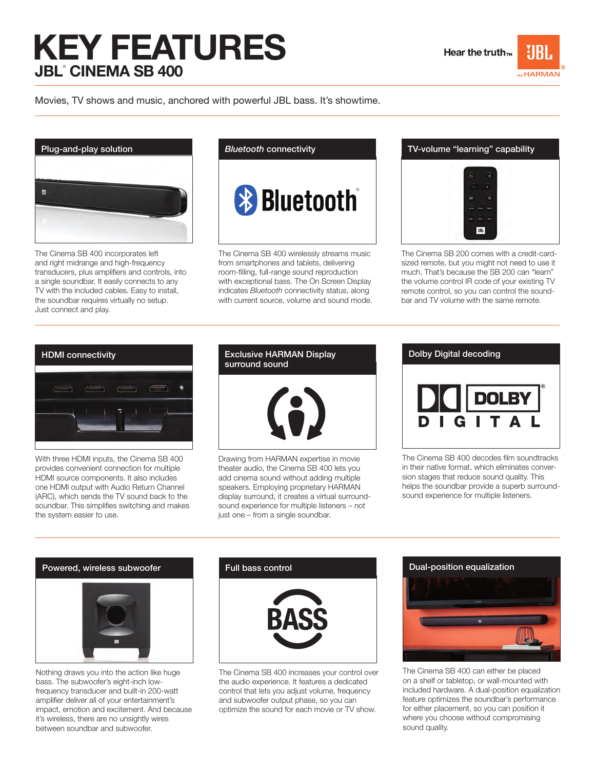## key features JBL® Cinema SB 400



Movies, TV shows and music, anchored with powerful JBL bass. It's showtime.



The Cinema SB 400 incorporates left and right midrange and high-frequency transducers, plus amplifiers and controls, into a single soundbar. It easily connects to any TV with the included cables. Easy to install, the soundbar requires virtually no setup. Just connect and play.

Bluetooth connectivity

**& Bluetooth** 

The Cinema SB 400 wirelessly streams music from smartphones and tablets, delivering room-filling, full-range sound reproduction with exceptional bass. The On Screen Display indicates Bluetooth connectivity status, along with current source, volume and sound mode.



The Cinema SB 200 comes with a credit-cardsized remote, but you might not need to use it much. That's because the SB 200 can "learn" the volume control IR code of your existing TV remote control, so you can control the soundbar and TV volume with the same remote.



With three HDMI inputs, the Cinema SB 400 provides convenient connection for multiple HDMI source components. It also includes one HDMI output with Audio Return Channel (ARC), which sends the TV sound back to the soundbar. This simplifies switching and makes the system easier to use.

### surround sound



Drawing from HARMAN expertise in movie theater audio, the Cinema SB 400 lets you add cinema sound without adding multiple speakers. Employing proprietary HARMAN display surround, it creates a virtual surroundsound experience for multiple listeners – not just one – from a single soundbar.

## Dolby Digital decoding **DOLBY**

The Cinema SB 400 decodes film soundtracks in their native format, which eliminates conversion stages that reduce sound quality. This helps the soundbar provide a superb surroundsound experience for multiple listeners.



Nothing draws you into the action like huge bass. The subwoofer's eight-inch lowfrequency transducer and built-in 200-watt amplifier deliver all of your entertainment's impact, emotion and excitement. And because it's wireless, there are no unsightly wires between soundbar and subwoofer.

The Cinema SB 400 increases your control over the audio experience. It features a dedicated control that lets you adjust volume, frequency and subwoofer output phase, so you can optimize the sound for each movie or TV show.



The Cinema SB 400 can either be placed on a shelf or tabletop, or wall-mounted with included hardware. A dual-position equalization feature optimizes the soundbar's performance for either placement, so you can position it where you choose without compromising sound quality.